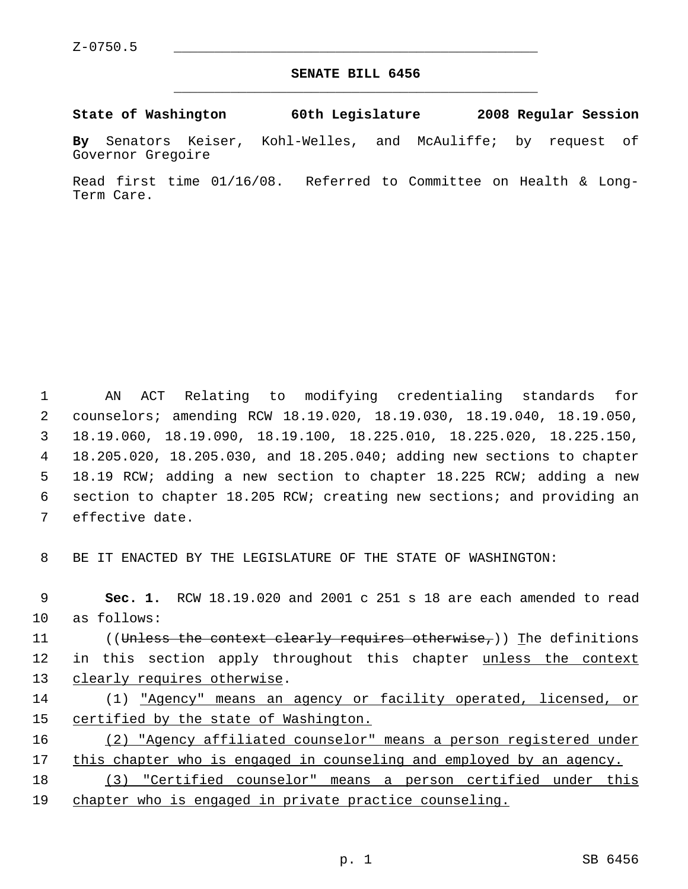## **SENATE BILL 6456** \_\_\_\_\_\_\_\_\_\_\_\_\_\_\_\_\_\_\_\_\_\_\_\_\_\_\_\_\_\_\_\_\_\_\_\_\_\_\_\_\_\_\_\_\_

**State of Washington 60th Legislature 2008 Regular Session**

**By** Senators Keiser, Kohl-Welles, and McAuliffe; by request of Governor Gregoire

Read first time 01/16/08. Referred to Committee on Health & Long-Term Care.

 AN ACT Relating to modifying credentialing standards for counselors; amending RCW 18.19.020, 18.19.030, 18.19.040, 18.19.050, 18.19.060, 18.19.090, 18.19.100, 18.225.010, 18.225.020, 18.225.150, 18.205.020, 18.205.030, and 18.205.040; adding new sections to chapter 18.19 RCW; adding a new section to chapter 18.225 RCW; adding a new section to chapter 18.205 RCW; creating new sections; and providing an effective date.

8 BE IT ENACTED BY THE LEGISLATURE OF THE STATE OF WASHINGTON:

 **Sec. 1.** RCW 18.19.020 and 2001 c 251 s 18 are each amended to read as follows: 11 ((<del>Unless the context clearly requires otherwise,</del>)) The definitions 12 in this section apply throughout this chapter unless the context 13 clearly requires otherwise. (1) "Agency" means an agency or facility operated, licensed, or certified by the state of Washington. (2) "Agency affiliated counselor" means a person registered under this chapter who is engaged in counseling and employed by an agency.

18 (3) "Certified counselor" means a person certified under this 19 chapter who is engaged in private practice counseling.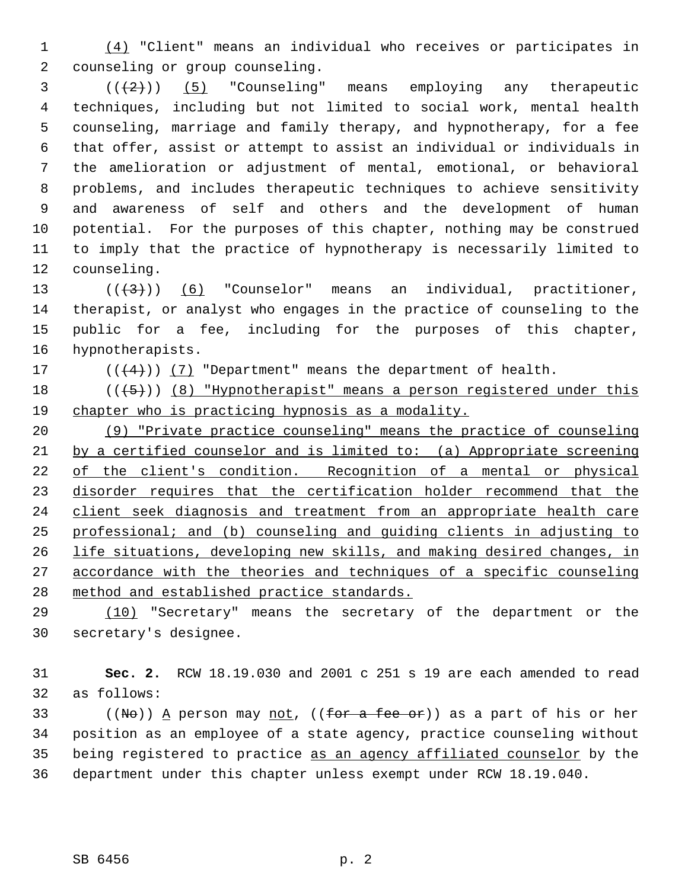(4) "Client" means an individual who receives or participates in counseling or group counseling.

  $((+2))$   $(5)$  "Counseling" means employing any therapeutic techniques, including but not limited to social work, mental health counseling, marriage and family therapy, and hypnotherapy, for a fee that offer, assist or attempt to assist an individual or individuals in the amelioration or adjustment of mental, emotional, or behavioral problems, and includes therapeutic techniques to achieve sensitivity and awareness of self and others and the development of human potential. For the purposes of this chapter, nothing may be construed to imply that the practice of hypnotherapy is necessarily limited to counseling.

 $((\langle 3 \rangle))$  (6) "Counselor" means an individual, practitioner, therapist, or analyst who engages in the practice of counseling to the public for a fee, including for the purposes of this chapter, hypnotherapists.

17  $((4+))$  (7) "Department" means the department of health.

18  $((+5))$  (8) "Hypnotherapist" means a person registered under this chapter who is practicing hypnosis as a modality.

 (9) "Private practice counseling" means the practice of counseling by a certified counselor and is limited to: (a) Appropriate screening 22 of the client's condition. Recognition of a mental or physical disorder requires that the certification holder recommend that the client seek diagnosis and treatment from an appropriate health care professional; and (b) counseling and guiding clients in adjusting to life situations, developing new skills, and making desired changes, in accordance with the theories and techniques of a specific counseling method and established practice standards.

 (10) "Secretary" means the secretary of the department or the secretary's designee.

 **Sec. 2.** RCW 18.19.030 and 2001 c 251 s 19 are each amended to read as follows:

33 ((No)) A person may <u>not</u>, ((for a fee or)) as a part of his or her position as an employee of a state agency, practice counseling without being registered to practice as an agency affiliated counselor by the department under this chapter unless exempt under RCW 18.19.040.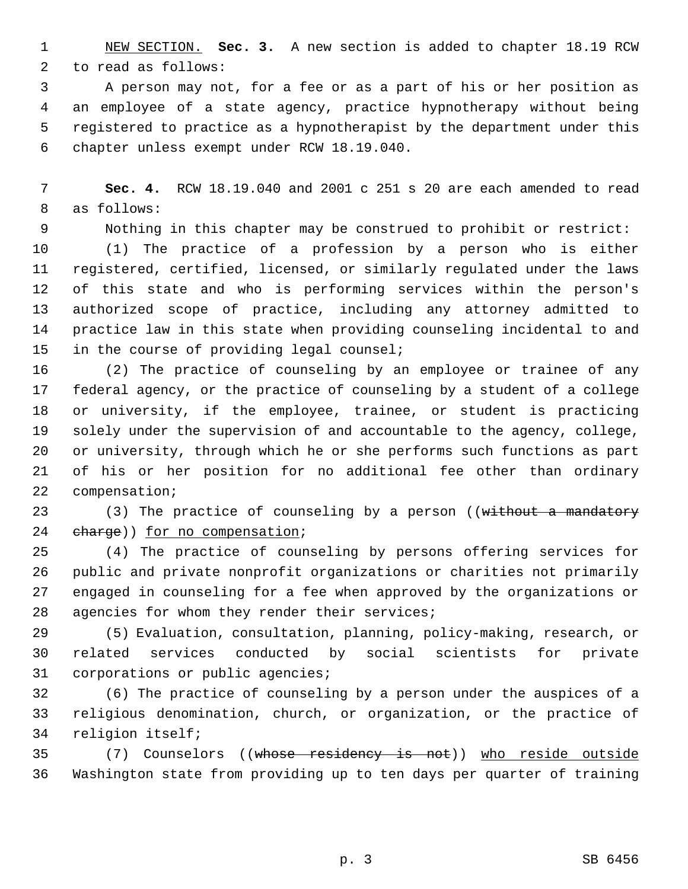NEW SECTION. **Sec. 3.** A new section is added to chapter 18.19 RCW to read as follows:

 A person may not, for a fee or as a part of his or her position as an employee of a state agency, practice hypnotherapy without being registered to practice as a hypnotherapist by the department under this chapter unless exempt under RCW 18.19.040.

 **Sec. 4.** RCW 18.19.040 and 2001 c 251 s 20 are each amended to read as follows:

Nothing in this chapter may be construed to prohibit or restrict:

 (1) The practice of a profession by a person who is either registered, certified, licensed, or similarly regulated under the laws of this state and who is performing services within the person's authorized scope of practice, including any attorney admitted to practice law in this state when providing counseling incidental to and in the course of providing legal counsel;

 (2) The practice of counseling by an employee or trainee of any federal agency, or the practice of counseling by a student of a college or university, if the employee, trainee, or student is practicing solely under the supervision of and accountable to the agency, college, or university, through which he or she performs such functions as part of his or her position for no additional fee other than ordinary compensation;

23 (3) The practice of counseling by a person ((without a mandatory 24 charge)) for no compensation;

 (4) The practice of counseling by persons offering services for public and private nonprofit organizations or charities not primarily engaged in counseling for a fee when approved by the organizations or agencies for whom they render their services;

 (5) Evaluation, consultation, planning, policy-making, research, or related services conducted by social scientists for private corporations or public agencies;

 (6) The practice of counseling by a person under the auspices of a religious denomination, church, or organization, or the practice of religion itself;

 (7) Counselors ((whose residency is not)) who reside outside Washington state from providing up to ten days per quarter of training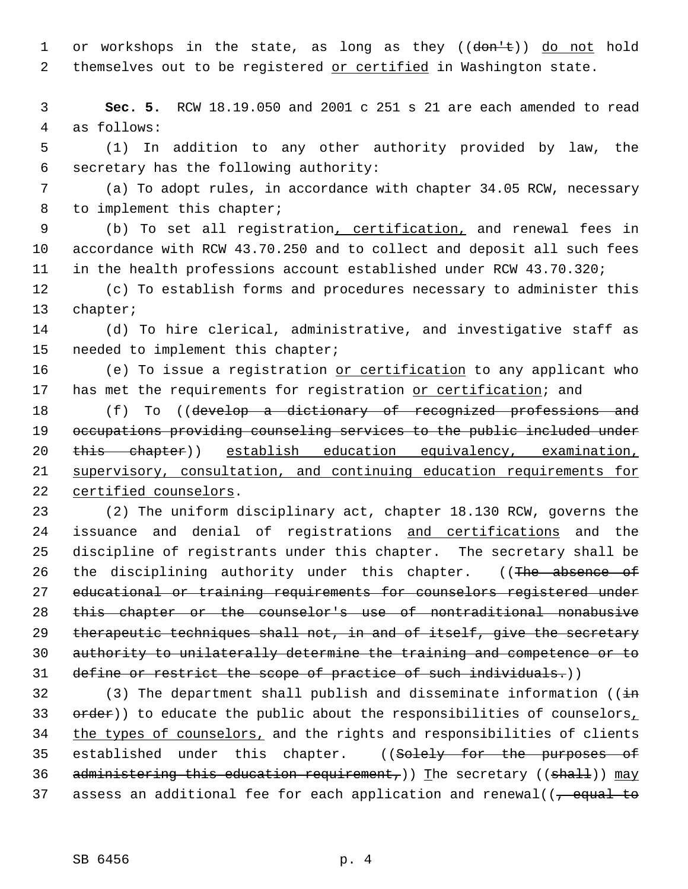1 or workshops in the state, as long as they  $((\text{dom} \pm))$  do not hold 2 themselves out to be registered or certified in Washington state.

 3 **Sec. 5.** RCW 18.19.050 and 2001 c 251 s 21 are each amended to read 4 as follows:

 5 (1) In addition to any other authority provided by law, the 6 secretary has the following authority:

 7 (a) To adopt rules, in accordance with chapter 34.05 RCW, necessary 8 to implement this chapter;

 9 (b) To set all registration, certification, and renewal fees in 10 accordance with RCW 43.70.250 and to collect and deposit all such fees 11 in the health professions account established under RCW 43.70.320;

12 (c) To establish forms and procedures necessary to administer this 13 chapter;

14 (d) To hire clerical, administrative, and investigative staff as 15 needed to implement this chapter;

16 (e) To issue a registration or certification to any applicant who 17 has met the requirements for registration or certification; and

18 (f) To ((develop a dictionary of recognized professions and 19 occupations providing counseling services to the public included under 20 this chapter)) establish education equivalency, examination, 21 supervisory, consultation, and continuing education requirements for 22 certified counselors.

 (2) The uniform disciplinary act, chapter 18.130 RCW, governs the 24 issuance and denial of registrations and certifications and the discipline of registrants under this chapter. The secretary shall be 26 the disciplining authority under this chapter. ((The absence of educational or training requirements for counselors registered under this chapter or the counselor's use of nontraditional nonabusive 29 therapeutic techniques shall not, in and of itself, give the secretary authority to unilaterally determine the training and competence or to define or restrict the scope of practice of such individuals.))

32 (3) The department shall publish and disseminate information ( $(i+n)$ 33 order)) to educate the public about the responsibilities of counselors, 34 the types of counselors, and the rights and responsibilities of clients 35 established under this chapter. ((Solely for the purposes of 36 administering this education requirement,)) The secretary ((shall))  $\text{may}$ 37 assess an additional fee for each application and renewal( $\sqrt{2}$  equal to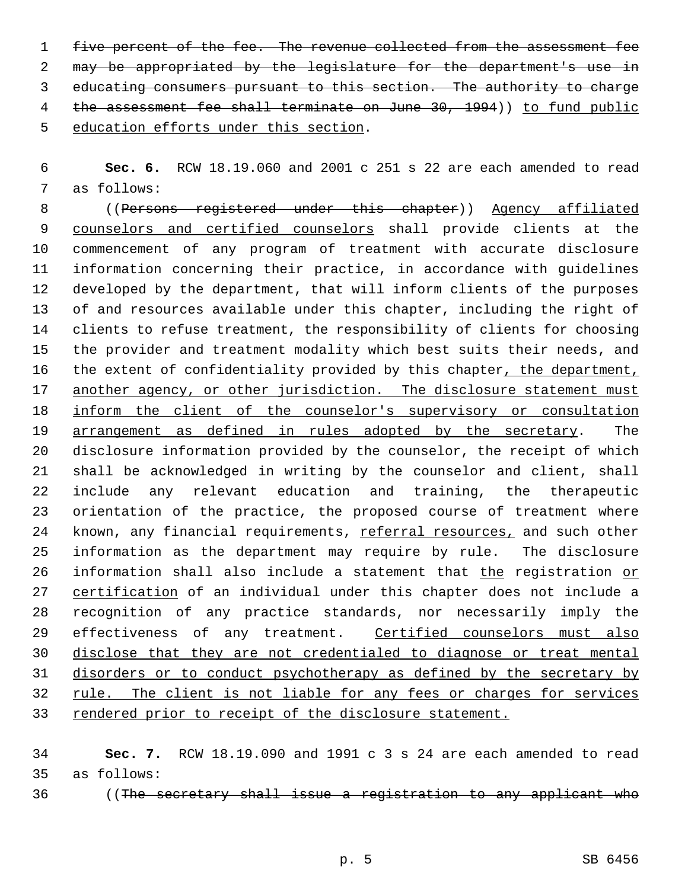five percent of the fee. The revenue collected from the assessment fee may be appropriated by the legislature for the department's use in educating consumers pursuant to this section. The authority to charge 4 the assessment fee shall terminate on June 30, 1994)) to fund public education efforts under this section.

 **Sec. 6.** RCW 18.19.060 and 2001 c 251 s 22 are each amended to read as follows:

8 ((Persons registered under this chapter)) Agency affiliated counselors and certified counselors shall provide clients at the commencement of any program of treatment with accurate disclosure information concerning their practice, in accordance with guidelines developed by the department, that will inform clients of the purposes of and resources available under this chapter, including the right of clients to refuse treatment, the responsibility of clients for choosing the provider and treatment modality which best suits their needs, and 16 the extent of confidentiality provided by this chapter, the department, 17 another agency, or other jurisdiction. The disclosure statement must inform the client of the counselor's supervisory or consultation 19 arrangement as defined in rules adopted by the secretary. The disclosure information provided by the counselor, the receipt of which shall be acknowledged in writing by the counselor and client, shall include any relevant education and training, the therapeutic orientation of the practice, the proposed course of treatment where known, any financial requirements, referral resources, and such other information as the department may require by rule. The disclosure 26 information shall also include a statement that the registration or 27 certification of an individual under this chapter does not include a recognition of any practice standards, nor necessarily imply the 29 effectiveness of any treatment. Certified counselors must also disclose that they are not credentialed to diagnose or treat mental disorders or to conduct psychotherapy as defined by the secretary by rule. The client is not liable for any fees or charges for services 33 rendered prior to receipt of the disclosure statement.

 **Sec. 7.** RCW 18.19.090 and 1991 c 3 s 24 are each amended to read as follows:

36 (The secretary shall issue a registration to any applicant who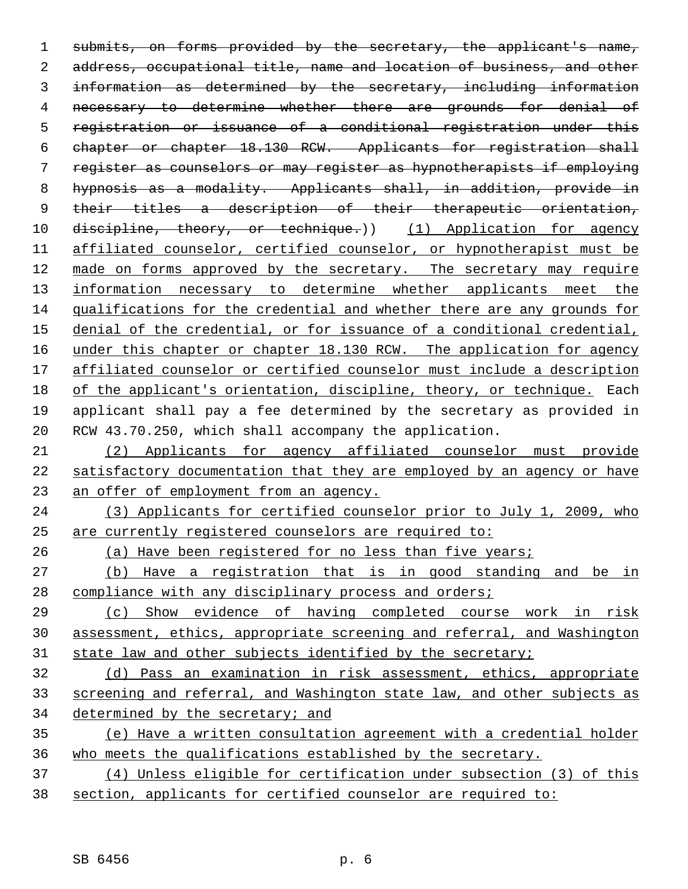1 submits, on forms provided by the secretary, the applicant's name, 2 address, occupational title, name and location of business, and other information as determined by the secretary, including information 4 necessary to determine whether there are grounds for denial of registration or issuance of a conditional registration under this chapter or chapter 18.130 RCW. Applicants for registration shall register as counselors or may register as hypnotherapists if employing hypnosis as a modality. Applicants shall, in addition, provide in 9 their titles a description of their therapeutic orientation, 10 discipline, theory, or technique.) (1) Application for agency affiliated counselor, certified counselor, or hypnotherapist must be made on forms approved by the secretary. The secretary may require 13 information necessary to determine whether applicants meet the qualifications for the credential and whether there are any grounds for denial of the credential, or for issuance of a conditional credential, 16 under this chapter or chapter 18.130 RCW. The application for agency affiliated counselor or certified counselor must include a description of the applicant's orientation, discipline, theory, or technique. Each applicant shall pay a fee determined by the secretary as provided in RCW 43.70.250, which shall accompany the application.

 (2) Applicants for agency affiliated counselor must provide satisfactory documentation that they are employed by an agency or have an offer of employment from an agency.

 (3) Applicants for certified counselor prior to July 1, 2009, who are currently registered counselors are required to:

(a) Have been registered for no less than five years;

 (b) Have a registration that is in good standing and be in compliance with any disciplinary process and orders;

 (c) Show evidence of having completed course work in risk assessment, ethics, appropriate screening and referral, and Washington 31 state law and other subjects identified by the secretary;

 (d) Pass an examination in risk assessment, ethics, appropriate screening and referral, and Washington state law, and other subjects as determined by the secretary; and

 (e) Have a written consultation agreement with a credential holder who meets the qualifications established by the secretary.

 (4) Unless eligible for certification under subsection (3) of this section, applicants for certified counselor are required to: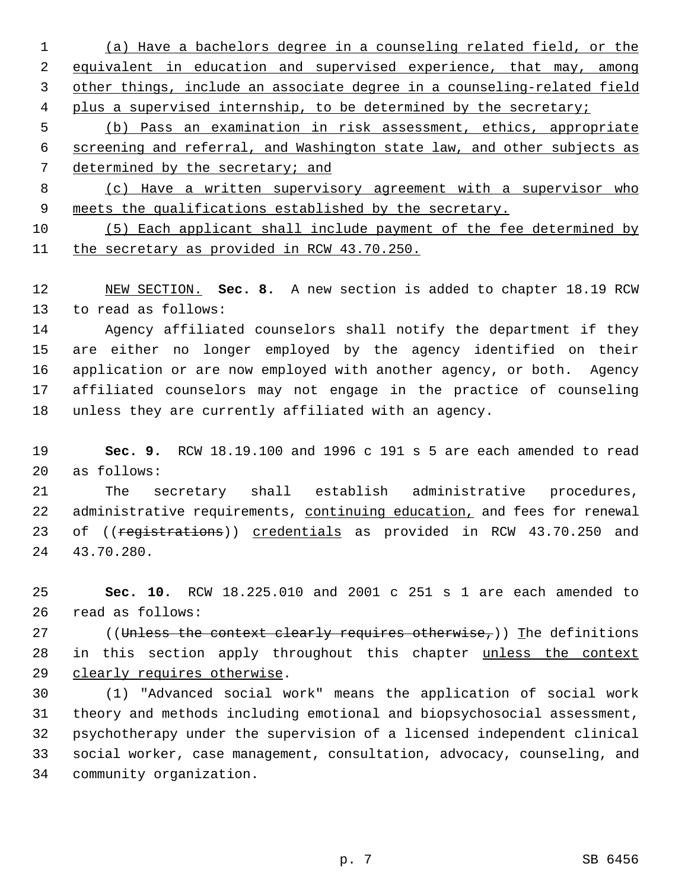(a) Have a bachelors degree in a counseling related field, or the equivalent in education and supervised experience, that may, among other things, include an associate degree in a counseling-related field 4 plus a supervised internship, to be determined by the secretary;

 (b) Pass an examination in risk assessment, ethics, appropriate screening and referral, and Washington state law, and other subjects as 7 determined by the secretary; and

 (c) Have a written supervisory agreement with a supervisor who 9 meets the qualifications established by the secretary.

 (5) Each applicant shall include payment of the fee determined by 11 the secretary as provided in RCW 43.70.250.

 NEW SECTION. **Sec. 8.** A new section is added to chapter 18.19 RCW to read as follows:

 Agency affiliated counselors shall notify the department if they are either no longer employed by the agency identified on their application or are now employed with another agency, or both. Agency affiliated counselors may not engage in the practice of counseling unless they are currently affiliated with an agency.

 **Sec. 9.** RCW 18.19.100 and 1996 c 191 s 5 are each amended to read as follows:

 The secretary shall establish administrative procedures, 22 administrative requirements, continuing education, and fees for renewal 23 of ((registrations)) credentials as provided in RCW 43.70.250 and 43.70.280.

 **Sec. 10.** RCW 18.225.010 and 2001 c 251 s 1 are each amended to read as follows:

27 ((Unless the context clearly requires otherwise,)) The definitions 28 in this section apply throughout this chapter unless the context clearly requires otherwise.

 (1) "Advanced social work" means the application of social work theory and methods including emotional and biopsychosocial assessment, psychotherapy under the supervision of a licensed independent clinical social worker, case management, consultation, advocacy, counseling, and community organization.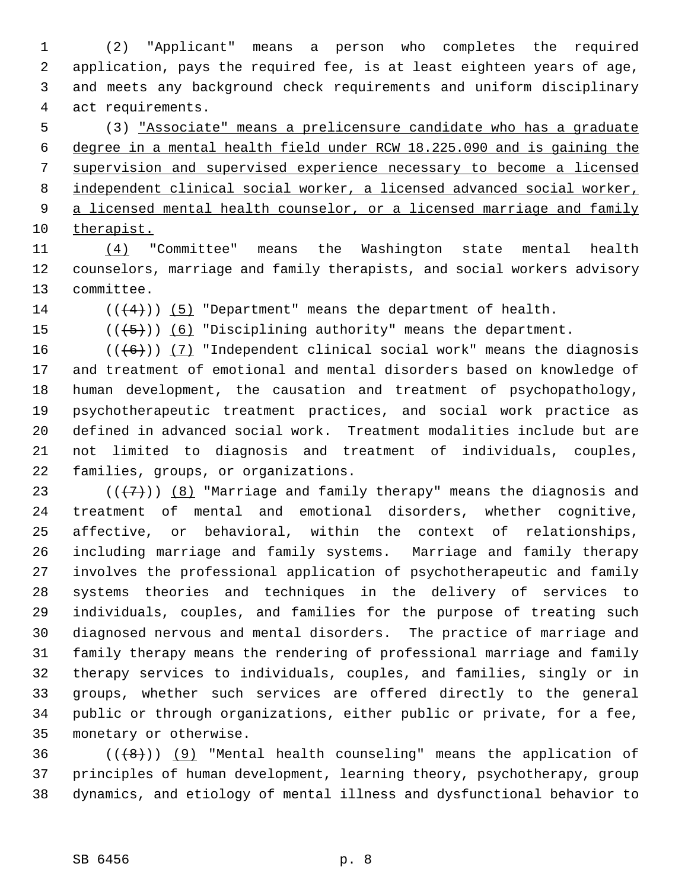(2) "Applicant" means a person who completes the required application, pays the required fee, is at least eighteen years of age, and meets any background check requirements and uniform disciplinary act requirements.

 (3) "Associate" means a prelicensure candidate who has a graduate degree in a mental health field under RCW 18.225.090 and is gaining the supervision and supervised experience necessary to become a licensed independent clinical social worker, a licensed advanced social worker, 9 a licensed mental health counselor, or a licensed marriage and family therapist.

 (4) "Committee" means the Washington state mental health counselors, marriage and family therapists, and social workers advisory committee.

14  $((\langle 4 \rangle) )$  (5) "Department" means the department of health.

15  $((\overline{5}))$  (6) "Disciplining authority" means the department.

 $((+6))$  (7) "Independent clinical social work" means the diagnosis and treatment of emotional and mental disorders based on knowledge of human development, the causation and treatment of psychopathology, psychotherapeutic treatment practices, and social work practice as defined in advanced social work. Treatment modalities include but are not limited to diagnosis and treatment of individuals, couples, families, groups, or organizations.

23 ( $(\overline{+7})$ ) (8) "Marriage and family therapy" means the diagnosis and treatment of mental and emotional disorders, whether cognitive, affective, or behavioral, within the context of relationships, including marriage and family systems. Marriage and family therapy involves the professional application of psychotherapeutic and family systems theories and techniques in the delivery of services to individuals, couples, and families for the purpose of treating such diagnosed nervous and mental disorders. The practice of marriage and family therapy means the rendering of professional marriage and family therapy services to individuals, couples, and families, singly or in groups, whether such services are offered directly to the general public or through organizations, either public or private, for a fee, monetary or otherwise.

 ( $(\frac{1}{8})$ ) (9) "Mental health counseling" means the application of principles of human development, learning theory, psychotherapy, group dynamics, and etiology of mental illness and dysfunctional behavior to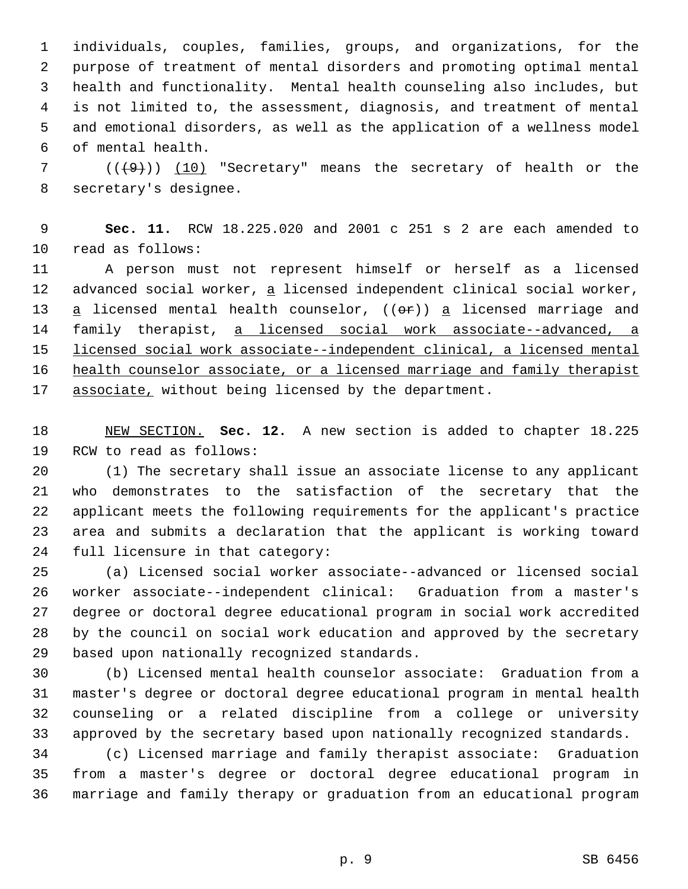individuals, couples, families, groups, and organizations, for the purpose of treatment of mental disorders and promoting optimal mental health and functionality. Mental health counseling also includes, but is not limited to, the assessment, diagnosis, and treatment of mental and emotional disorders, as well as the application of a wellness model of mental health.

 (( $(49)$ )) (10) "Secretary" means the secretary of health or the secretary's designee.

 **Sec. 11.** RCW 18.225.020 and 2001 c 251 s 2 are each amended to read as follows:

 A person must not represent himself or herself as a licensed 12 advanced social worker, a licensed independent clinical social worker,  $a$  licensed mental health counselor, (( $e^{2}$ ))  $a$  licensed marriage and family therapist, a licensed social work associate--advanced, a licensed social work associate--independent clinical, a licensed mental 16 health counselor associate, or a licensed marriage and family therapist associate, without being licensed by the department.

 NEW SECTION. **Sec. 12.** A new section is added to chapter 18.225 RCW to read as follows:

 (1) The secretary shall issue an associate license to any applicant who demonstrates to the satisfaction of the secretary that the applicant meets the following requirements for the applicant's practice area and submits a declaration that the applicant is working toward full licensure in that category:

 (a) Licensed social worker associate--advanced or licensed social worker associate--independent clinical: Graduation from a master's degree or doctoral degree educational program in social work accredited by the council on social work education and approved by the secretary based upon nationally recognized standards.

 (b) Licensed mental health counselor associate: Graduation from a master's degree or doctoral degree educational program in mental health counseling or a related discipline from a college or university approved by the secretary based upon nationally recognized standards.

 (c) Licensed marriage and family therapist associate: Graduation from a master's degree or doctoral degree educational program in marriage and family therapy or graduation from an educational program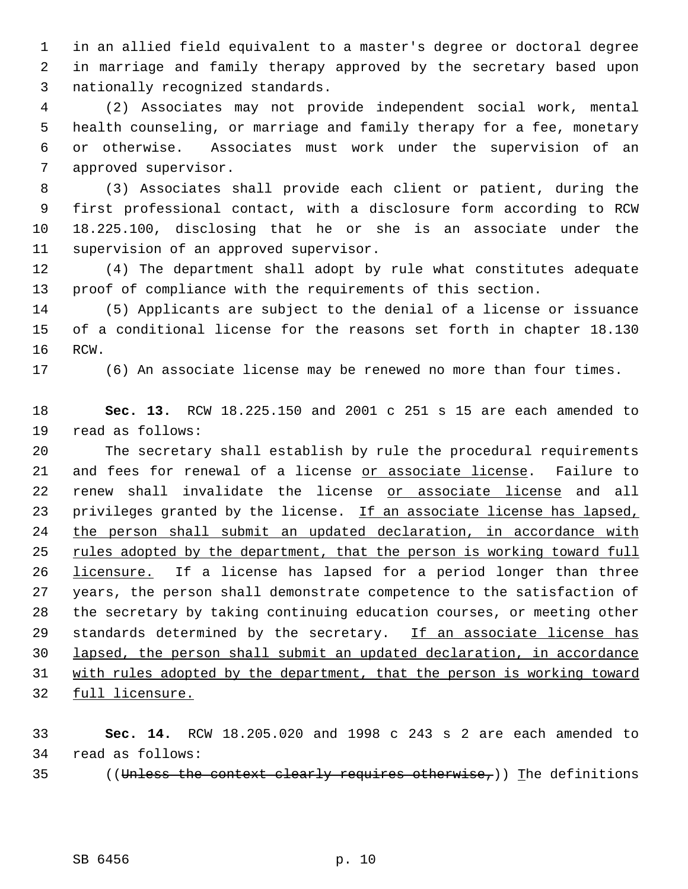in an allied field equivalent to a master's degree or doctoral degree in marriage and family therapy approved by the secretary based upon nationally recognized standards.

 (2) Associates may not provide independent social work, mental health counseling, or marriage and family therapy for a fee, monetary or otherwise. Associates must work under the supervision of an approved supervisor.

 (3) Associates shall provide each client or patient, during the first professional contact, with a disclosure form according to RCW 18.225.100, disclosing that he or she is an associate under the supervision of an approved supervisor.

 (4) The department shall adopt by rule what constitutes adequate proof of compliance with the requirements of this section.

 (5) Applicants are subject to the denial of a license or issuance of a conditional license for the reasons set forth in chapter 18.130 RCW.

(6) An associate license may be renewed no more than four times.

 **Sec. 13.** RCW 18.225.150 and 2001 c 251 s 15 are each amended to read as follows:

 The secretary shall establish by rule the procedural requirements 21 and fees for renewal of a license or associate license. Failure to 22 renew shall invalidate the license or associate license and all 23 privileges granted by the license. If an associate license has lapsed, 24 the person shall submit an updated declaration, in accordance with 25 rules adopted by the department, that the person is working toward full 26 <u>licensure.</u> If a license has lapsed for a period longer than three years, the person shall demonstrate competence to the satisfaction of the secretary by taking continuing education courses, or meeting other 29 standards determined by the secretary. If an associate license has lapsed, the person shall submit an updated declaration, in accordance with rules adopted by the department, that the person is working toward full licensure.

 **Sec. 14.** RCW 18.205.020 and 1998 c 243 s 2 are each amended to read as follows:

35 ((Unless the context clearly requires otherwise,)) The definitions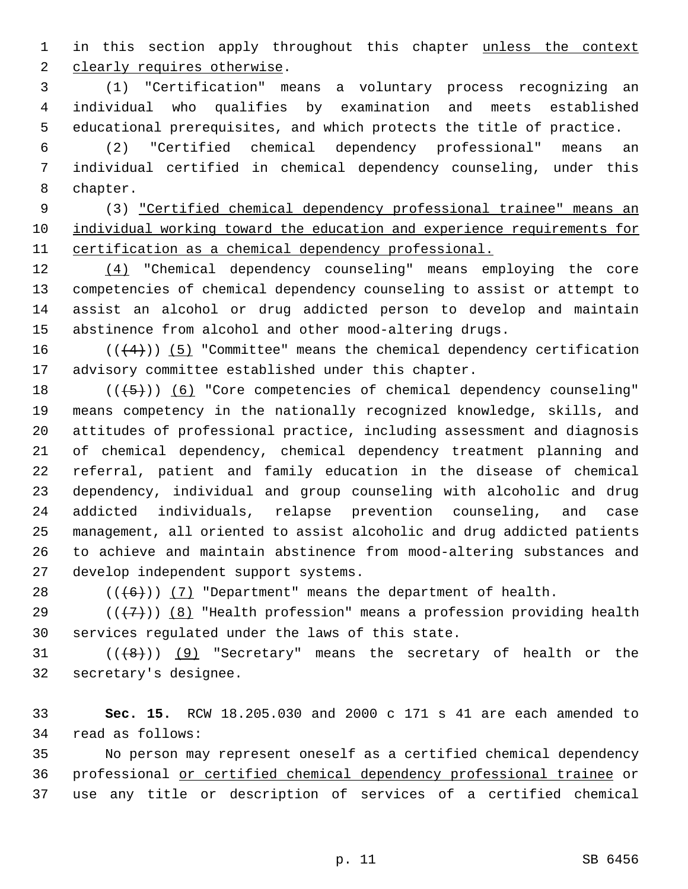1 in this section apply throughout this chapter unless the context 2 clearly requires otherwise.

 (1) "Certification" means a voluntary process recognizing an individual who qualifies by examination and meets established educational prerequisites, and which protects the title of practice.

 (2) "Certified chemical dependency professional" means an individual certified in chemical dependency counseling, under this chapter.

 (3) "Certified chemical dependency professional trainee" means an individual working toward the education and experience requirements for 11 certification as a chemical dependency professional.

 (4) "Chemical dependency counseling" means employing the core competencies of chemical dependency counseling to assist or attempt to assist an alcohol or drug addicted person to develop and maintain abstinence from alcohol and other mood-altering drugs.

16  $((+4))$  (5) "Committee" means the chemical dependency certification advisory committee established under this chapter.

 $((+5))$   $(6)$  "Core competencies of chemical dependency counseling" means competency in the nationally recognized knowledge, skills, and attitudes of professional practice, including assessment and diagnosis of chemical dependency, chemical dependency treatment planning and referral, patient and family education in the disease of chemical dependency, individual and group counseling with alcoholic and drug addicted individuals, relapse prevention counseling, and case management, all oriented to assist alcoholic and drug addicted patients to achieve and maintain abstinence from mood-altering substances and develop independent support systems.

28  $((+6))$   $(7)$  "Department" means the department of health.

29 ( $(\overline{+7})$ ) (8) "Health profession" means a profession providing health services regulated under the laws of this state.

31  $((\{8\})$   $(9)$  "Secretary" means the secretary of health or the secretary's designee.

 **Sec. 15.** RCW 18.205.030 and 2000 c 171 s 41 are each amended to read as follows:

 No person may represent oneself as a certified chemical dependency professional or certified chemical dependency professional trainee or use any title or description of services of a certified chemical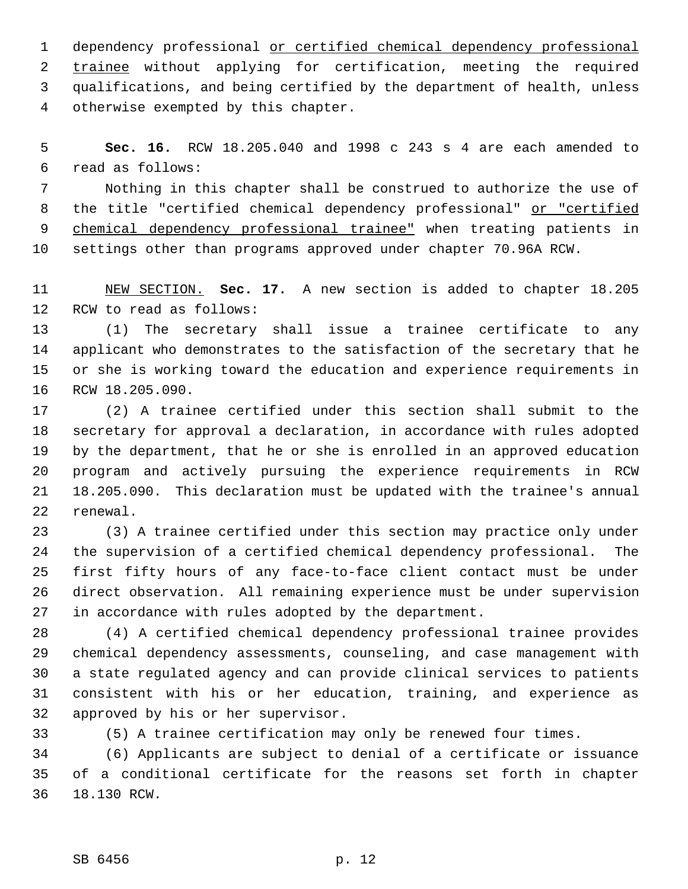dependency professional or certified chemical dependency professional trainee without applying for certification, meeting the required qualifications, and being certified by the department of health, unless otherwise exempted by this chapter.

 **Sec. 16.** RCW 18.205.040 and 1998 c 243 s 4 are each amended to read as follows:

 Nothing in this chapter shall be construed to authorize the use of 8 the title "certified chemical dependency professional" or "certified 9 chemical dependency professional trainee" when treating patients in settings other than programs approved under chapter 70.96A RCW.

 NEW SECTION. **Sec. 17.** A new section is added to chapter 18.205 RCW to read as follows:

 (1) The secretary shall issue a trainee certificate to any applicant who demonstrates to the satisfaction of the secretary that he or she is working toward the education and experience requirements in RCW 18.205.090.

 (2) A trainee certified under this section shall submit to the secretary for approval a declaration, in accordance with rules adopted by the department, that he or she is enrolled in an approved education program and actively pursuing the experience requirements in RCW 18.205.090. This declaration must be updated with the trainee's annual renewal.

 (3) A trainee certified under this section may practice only under the supervision of a certified chemical dependency professional. The first fifty hours of any face-to-face client contact must be under direct observation. All remaining experience must be under supervision in accordance with rules adopted by the department.

 (4) A certified chemical dependency professional trainee provides chemical dependency assessments, counseling, and case management with a state regulated agency and can provide clinical services to patients consistent with his or her education, training, and experience as approved by his or her supervisor.

(5) A trainee certification may only be renewed four times.

 (6) Applicants are subject to denial of a certificate or issuance of a conditional certificate for the reasons set forth in chapter 18.130 RCW.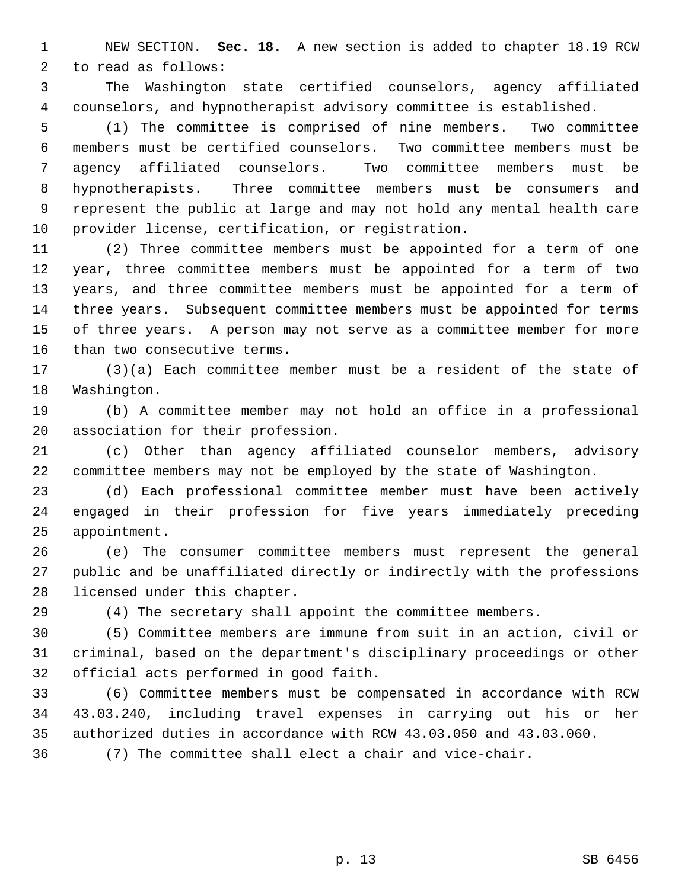NEW SECTION. **Sec. 18.** A new section is added to chapter 18.19 RCW to read as follows:

 The Washington state certified counselors, agency affiliated counselors, and hypnotherapist advisory committee is established.

 (1) The committee is comprised of nine members. Two committee members must be certified counselors. Two committee members must be agency affiliated counselors. Two committee members must be hypnotherapists. Three committee members must be consumers and represent the public at large and may not hold any mental health care provider license, certification, or registration.

 (2) Three committee members must be appointed for a term of one year, three committee members must be appointed for a term of two years, and three committee members must be appointed for a term of three years. Subsequent committee members must be appointed for terms of three years. A person may not serve as a committee member for more than two consecutive terms.

 (3)(a) Each committee member must be a resident of the state of Washington.

 (b) A committee member may not hold an office in a professional association for their profession.

 (c) Other than agency affiliated counselor members, advisory committee members may not be employed by the state of Washington.

 (d) Each professional committee member must have been actively engaged in their profession for five years immediately preceding appointment.

 (e) The consumer committee members must represent the general public and be unaffiliated directly or indirectly with the professions licensed under this chapter.

(4) The secretary shall appoint the committee members.

 (5) Committee members are immune from suit in an action, civil or criminal, based on the department's disciplinary proceedings or other official acts performed in good faith.

 (6) Committee members must be compensated in accordance with RCW 43.03.240, including travel expenses in carrying out his or her authorized duties in accordance with RCW 43.03.050 and 43.03.060.

(7) The committee shall elect a chair and vice-chair.